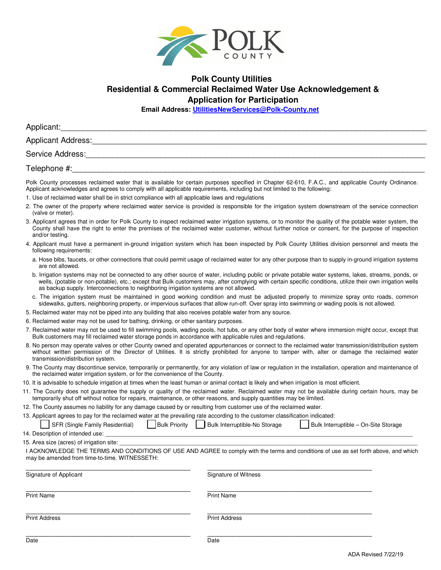

## **Polk County Utilities Residential & Commercial Reclaimed Water Use Acknowledgement & Application for Participation**

**Email Address: UtilitiesNewServices@Polk-County.net** 

<span id="page-0-0"></span>

| Applicant:                                                                                                                                                                                                                                                                                                                                                                                                    |                                                                                                                                                                                                                                                                                                                    |
|---------------------------------------------------------------------------------------------------------------------------------------------------------------------------------------------------------------------------------------------------------------------------------------------------------------------------------------------------------------------------------------------------------------|--------------------------------------------------------------------------------------------------------------------------------------------------------------------------------------------------------------------------------------------------------------------------------------------------------------------|
| Applicant Address: Marian Marian Marian Marian Marian Marian Maria Maria Maria Maria Maria Maria Maria Maria M                                                                                                                                                                                                                                                                                                |                                                                                                                                                                                                                                                                                                                    |
|                                                                                                                                                                                                                                                                                                                                                                                                               |                                                                                                                                                                                                                                                                                                                    |
| Telephone #:                                                                                                                                                                                                                                                                                                                                                                                                  |                                                                                                                                                                                                                                                                                                                    |
| Applicant acknowledges and agrees to comply with all applicable requirements, including but not limited to the following:                                                                                                                                                                                                                                                                                     | Polk County processes reclaimed water that is available for certain purposes specified in Chapter 62-610, F.A.C., and applicable County Ordinance.                                                                                                                                                                 |
| 1. Use of reclaimed water shall be in strict compliance with all applicable laws and regulations                                                                                                                                                                                                                                                                                                              |                                                                                                                                                                                                                                                                                                                    |
| (valve or meter).                                                                                                                                                                                                                                                                                                                                                                                             | 2. The owner of the property where reclaimed water service is provided is responsible for the irrigation system downstream of the service connection                                                                                                                                                               |
| and/or testing.                                                                                                                                                                                                                                                                                                                                                                                               | 3. Applicant agrees that in order for Polk County to inspect reclaimed water irrigation systems, or to monitor the quality of the potable water system, the<br>County shall have the right to enter the premises of the reclaimed water customer, without further notice or consent, for the purpose of inspection |
| following requirements:                                                                                                                                                                                                                                                                                                                                                                                       | 4. Applicant must have a permanent in-ground irrigation system which has been inspected by Polk County Utilities division personnel and meets the                                                                                                                                                                  |
| a. Hose bibs, faucets, or other connections that could permit usage of reclaimed water for any other purpose than to supply in-ground irrigation systems<br>are not allowed.                                                                                                                                                                                                                                  |                                                                                                                                                                                                                                                                                                                    |
| b. Irrigation systems may not be connected to any other source of water, including public or private potable water systems, lakes, streams, ponds, or<br>wells, (potable or non-potable), etc.; except that Bulk customers may, after complying with certain specific conditions, utilize their own irrigation wells<br>as backup supply. Interconnections to neighboring irrigation systems are not allowed. |                                                                                                                                                                                                                                                                                                                    |
| c. The irrigation system must be maintained in good working condition and must be adjusted properly to minimize spray onto roads, common<br>sidewalks, gutters, neighboring property, or impervious surfaces that allow run-off. Over spray into swimming or wading pools is not allowed.                                                                                                                     |                                                                                                                                                                                                                                                                                                                    |
| 5. Reclaimed water may not be piped into any building that also receives potable water from any source.                                                                                                                                                                                                                                                                                                       |                                                                                                                                                                                                                                                                                                                    |
| 6. Reclaimed water may not be used for bathing, drinking, or other sanitary purposes.                                                                                                                                                                                                                                                                                                                         |                                                                                                                                                                                                                                                                                                                    |
| 7. Reclaimed water may not be used to fill swimming pools, wading pools, hot tubs, or any other body of water where immersion might occur, except that<br>Bulk customers may fill reclaimed water storage ponds in accordance with applicable rules and regulations.                                                                                                                                          |                                                                                                                                                                                                                                                                                                                    |
| 8. No person may operate valves or other County owned and operated appurtenances or connect to the reclaimed water transmission/distribution system<br>without written permission of the Director of Utilities. It is strictly prohibited for anyone to tamper with, alter or damage the reclaimed water<br>transmission/distribution system.                                                                 |                                                                                                                                                                                                                                                                                                                    |
| 9. The County may discontinue service, temporarily or permanently, for any violation of law or regulation in the installation, operation and maintenance of<br>the reclaimed water irrigation system, or for the convenience of the County.                                                                                                                                                                   |                                                                                                                                                                                                                                                                                                                    |
| 10. It is advisable to schedule irrigation at times when the least human or animal contact is likely and when irrigation is most efficient.                                                                                                                                                                                                                                                                   |                                                                                                                                                                                                                                                                                                                    |
| 11. The County does not guarantee the supply or quality of the reclaimed water. Reclaimed water may not be available during certain hours, may be<br>temporarily shut off without notice for repairs, maintenance, or other reasons, and supply quantities may be limited.                                                                                                                                    |                                                                                                                                                                                                                                                                                                                    |
| 12. The County assumes no liability for any damage caused by or resulting from customer use of the reclaimed water.                                                                                                                                                                                                                                                                                           |                                                                                                                                                                                                                                                                                                                    |
| 13. Applicant agrees to pay for the reclaimed water at the prevailing rate according to the customer classification indicated:<br><b>Bulk Priority</b><br>SFR (Single Family Residential)<br>Bulk Interruptible-No Storage<br>Bulk Interruptible - On-Site Storage                                                                                                                                            |                                                                                                                                                                                                                                                                                                                    |
| 14. Description of intended use:                                                                                                                                                                                                                                                                                                                                                                              |                                                                                                                                                                                                                                                                                                                    |
| 15. Area size (acres) of irrigation site:                                                                                                                                                                                                                                                                                                                                                                     |                                                                                                                                                                                                                                                                                                                    |
| I ACKNOWLEDGE THE TERMS AND CONDITIONS OF USE AND AGREE to comply with the terms and conditions of use as set forth above, and which<br>may be amended from time-to-time. WITNESSETH:                                                                                                                                                                                                                         |                                                                                                                                                                                                                                                                                                                    |
| Signature of Applicant                                                                                                                                                                                                                                                                                                                                                                                        | <b>Signature of Witness</b>                                                                                                                                                                                                                                                                                        |
| <b>Print Name</b>                                                                                                                                                                                                                                                                                                                                                                                             | <b>Print Name</b>                                                                                                                                                                                                                                                                                                  |
| <b>Print Address</b>                                                                                                                                                                                                                                                                                                                                                                                          | <b>Print Address</b>                                                                                                                                                                                                                                                                                               |
|                                                                                                                                                                                                                                                                                                                                                                                                               |                                                                                                                                                                                                                                                                                                                    |